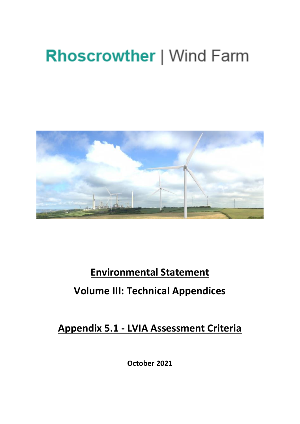# **Rhoscrowther | Wind Farm**



# **Environmental Statement Volume III: Technical Appendices**

**Appendix 5.1 - LVIA Assessment Criteria** 

**October 2021**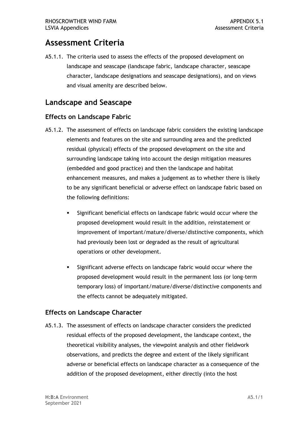# **Assessment Criteria**

 A5.1.1. The criteria used to assess the effects of the proposed development on landscape and seascape (landscape fabric, landscape character, seascape character, landscape designations and seascape designations), and on views and visual amenity are described below.

## **Landscape and Seascape**

#### **Effects on Landscape Fabric**

- A5.1.2. The assessment of effects on landscape fabric considers the existing landscape elements and features on the site and surrounding area and the predicted residual (physical) effects of the proposed development on the site and surrounding landscape taking into account the design mitigation measures (embedded and good practice) and then the landscape and habitat enhancement measures, and makes a judgement as to whether there is likely to be any significant beneficial or adverse effect on landscape fabric based on the following definitions:
	- proposed development would result in the addition, reinstatement or had previously been lost or degraded as the result of agricultural Significant beneficial effects on landscape fabric would occur where the improvement of important/mature/diverse/distinctive components, which operations or other development.
	- Significant adverse effects on landscape fabric would occur where the proposed development would result in the permanent loss (or long-term the effects cannot be adequately mitigated. temporary loss) of important/mature/diverse/distinctive components and

#### **Effects on Landscape Character**

 theoretical visibility analyses, the viewpoint analysis and other fieldwork observations, and predicts the degree and extent of the likely significant adverse or beneficial effects on landscape character as a consequence of the addition of the proposed development, either directly (into the host A5.1.3. The assessment of effects on landscape character considers the predicted residual effects of the proposed development, the landscape context, the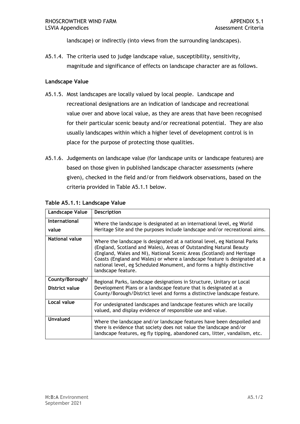landscape) or indirectly (into views from the surrounding landscapes).

 A5.1.4. The criteria used to judge landscape value, susceptibility, sensitivity, magnitude and significance of effects on landscape character are as follows.

#### **Landscape Value**

- A5.1.5. Most landscapes are locally valued by local people. Landscape and value over and above local value, as they are areas that have been recognised for their particular scenic beauty and/or recreational potential. They are also usually landscapes within which a higher level of development control is in place for the purpose of protecting those qualities. recreational designations are an indication of landscape and recreational
- A5.1.6. Judgements on landscape value (for landscape units or landscape features) are based on those given in published landscape character assessments (where given), checked in the field and/or from fieldwork observations, based on the criteria provided in Table A5.1.1 below.

| Landscape Value                   | Description                                                                                                                                                                                                                                                                                                                                                                                           |
|-----------------------------------|-------------------------------------------------------------------------------------------------------------------------------------------------------------------------------------------------------------------------------------------------------------------------------------------------------------------------------------------------------------------------------------------------------|
| International<br>value            | Where the landscape is designated at an international level, eg World<br>Heritage Site and the purposes include landscape and/or recreational aims.                                                                                                                                                                                                                                                   |
| National value                    | Where the landscape is designated at a national level, eg National Parks<br>(England, Scotland and Wales), Areas of Outstanding Natural Beauty<br>(England, Wales and NI), National Scenic Areas (Scotland) and Heritage<br>Coasts (England and Wales) or where a landscape feature is designated at a<br>national level, eg Scheduled Monument, and forms a highly distinctive<br>landscape feature. |
| County/Borough/<br>District value | Regional Parks, landscape designations in Structure, Unitary or Local<br>Development Plans or a landscape feature that is designated at a<br>County/Borough/District level and forms a distinctive landscape feature.                                                                                                                                                                                 |
| Local value                       | For undesignated landscapes and landscape features which are locally<br>valued, and display evidence of responsible use and value.                                                                                                                                                                                                                                                                    |
| Unvalued                          | Where the landscape and/or landscape features have been despoiled and<br>there is evidence that society does not value the landscape and/or<br>landscape features, eg fly tipping, abandoned cars, litter, vandalism, etc.                                                                                                                                                                            |

#### **Table A5.1.1: Landscape Value**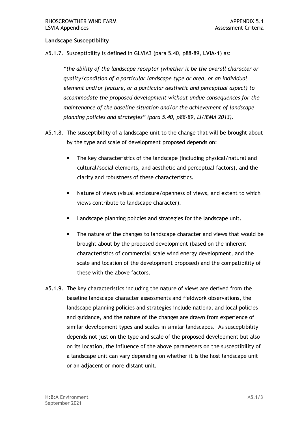#### **Landscape Susceptibility**

A5.1.7. Susceptibility is defined in GLVIA3 (para 5.40, p88-89, **LVIA-1**) as:

 *"the ability of the landscape receptor (whether it be the overall character or quality/condition of a particular landscape type or area, or an individual element and/or feature, or a particular aesthetic and perceptual aspect) to accommodate the proposed development without undue consequences for the maintenance of the baseline situation and/or the achievement of landscape planning policies and strategies" (para 5.40, p88-89, LI/IEMA 2013).* 

- A5.1.8. The susceptibility of a landscape unit to the change that will be brought about by the type and scale of development proposed depends on:
	- ▪ The key characteristics of the landscape (including physical/natural and cultural/social elements, and aesthetic and perceptual factors), and the clarity and robustness of these characteristics.
	- Nature of views (visual enclosure/openness of views, and extent to which views contribute to landscape character).
	- Landscape planning policies and strategies for the landscape unit.
	- The nature of the changes to landscape character and views that would be brought about by the proposed development (based on the inherent characteristics of commercial scale wind energy development, and the scale and location of the development proposed) and the compatibility of these with the above factors.
- A5.1.9. The key characteristics including the nature of views are derived from the and guidance, and the nature of the changes are drawn from experience of similar development types and scales in similar landscapes. As susceptibility depends not just on the type and scale of the proposed development but also on its location, the influence of the above parameters on the susceptibility of a landscape unit can vary depending on whether it is the host landscape unit or an adjacent or more distant unit. baseline landscape character assessments and fieldwork observations, the landscape planning policies and strategies include national and local policies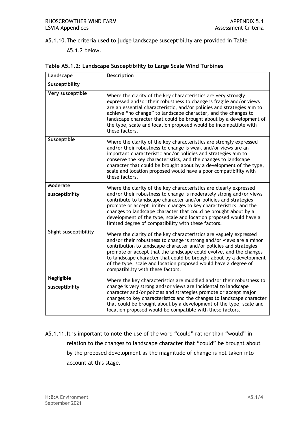A5.1.10.The criteria used to judge landscape susceptibility are provided in Table

A5.1.2 below.

| Landscape                           | <b>Description</b>                                                                                                                                                                                                                                                                                                                                                                                                                                                    |
|-------------------------------------|-----------------------------------------------------------------------------------------------------------------------------------------------------------------------------------------------------------------------------------------------------------------------------------------------------------------------------------------------------------------------------------------------------------------------------------------------------------------------|
| Susceptibility                      |                                                                                                                                                                                                                                                                                                                                                                                                                                                                       |
| Very susceptible                    | Where the clarity of the key characteristics are very strongly<br>expressed and/or their robustness to change is fragile and/or views<br>are an essential characteristic, and/or policies and strategies aim to<br>achieve "no change" to landscape character, and the changes to<br>landscape character that could be brought about by a development of<br>the type, scale and location proposed would be incompatible with<br>these factors.                        |
| Susceptible                         | Where the clarity of the key characteristics are strongly expressed<br>and/or their robustness to change is weak and/or views are an<br>important characteristic and/or policies and strategies aim to<br>conserve the key characteristics, and the changes to landscape<br>character that could be brought about by a development of the type,<br>scale and location proposed would have a poor compatibility with<br>these factors.                                 |
| Moderate                            | Where the clarity of the key characteristics are clearly expressed                                                                                                                                                                                                                                                                                                                                                                                                    |
| susceptibility                      | and/or their robustness to change is moderately strong and/or views<br>contribute to landscape character and/or policies and strategies<br>promote or accept limited changes to key characteristics, and the<br>changes to landscape character that could be brought about by a<br>development of the type, scale and location proposed would have a<br>limited degree of compatibility with these factors.                                                           |
| Slight susceptibility               | Where the clarity of the key characteristics are vaguely expressed<br>and/or their robustness to change is strong and/or views are a minor<br>contribution to landscape character and/or policies and strategies<br>promote or accept that the landscape could evolve, and the changes<br>to landscape character that could be brought about by a development<br>of the type, scale and location proposed would have a degree of<br>compatibility with these factors. |
| <b>Negligible</b><br>susceptibility | Where the key characteristics are muddled and/or their robustness to<br>change is very strong and/or views are incidental to landscape<br>character and/or policies and strategies promote or accept major<br>changes to key characteristics and the changes to landscape character<br>that could be brought about by a development of the type, scale and<br>location proposed would be compatible with these factors.                                               |
|                                     | A5.1.11. It is important to note the use of the word "could" rather than "would" in                                                                                                                                                                                                                                                                                                                                                                                   |

|  |  |  |  | Table A5.1.2: Landscape Susceptibility to Large Scale Wind Turbines |
|--|--|--|--|---------------------------------------------------------------------|
|--|--|--|--|---------------------------------------------------------------------|

 relation to the changes to landscape character that "could" be brought about by the proposed development as the magnitude of change is not taken into account at this stage.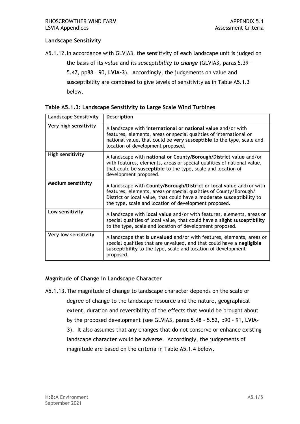#### **Landscape Sensitivity**

[A5.1.12.In](https://A5.1.12.In) accordance with GLVIA3, the sensitivity of each landscape unit is judged on

 the basis of its *value* and its *susceptibility to change* (GLVIA3, paras 5.39 – 5.47, pp88 – 90, **LVIA-3**). Accordingly, the judgements on value and susceptibility are combined to give levels of sensitivity as in Table A5.1.3 below.

| <b>Landscape Sensitivity</b> | <b>Description</b>                                                                                                                                                                                                                                                         |
|------------------------------|----------------------------------------------------------------------------------------------------------------------------------------------------------------------------------------------------------------------------------------------------------------------------|
| Very high sensitivity        | A landscape with international or national value and/or with<br>features, elements, areas or special qualities of international or<br>national value, that could be very susceptible to the type, scale and<br>location of development proposed.                           |
| <b>High sensitivity</b>      | A landscape with national or County/Borough/District value and/or<br>with features, elements, areas or special qualities of national value,<br>that could be susceptible to the type, scale and location of<br>development proposed.                                       |
| <b>Medium sensitivity</b>    | A landscape with County/Borough/District or local value and/or with<br>features, elements, areas or special qualities of County/Borough/<br>District or local value, that could have a moderate susceptibility to<br>the type, scale and location of development proposed. |
| Low sensitivity              | A landscape with local value and/or with features, elements, areas or<br>special qualities of local value, that could have a slight susceptibility<br>to the type, scale and location of development proposed.                                                             |
| Very low sensitivity         | A landscape that is unvalued and/or with features, elements, areas or<br>special qualities that are unvalued, and that could have a negligible<br>susceptibility to the type, scale and location of development<br>proposed.                                               |

**Table A5.1.3: Landscape Sensitivity to Large Scale Wind Turbines** 

#### **Magnitude of Change in Landscape Character**

 A5.1.13.The magnitude of change to landscape character depends on the scale or degree of change to the landscape resource and the nature, geographical extent, duration and reversibility of the effects that would be brought about by the proposed development (see GLVIA3, paras 5.48 – 5.52, p90 - 91, **LVIA- 3**). It also assumes that any changes that do not conserve or enhance existing landscape character would be adverse. Accordingly, the judgements of magnitude are based on the criteria in Table A5.1.4 below.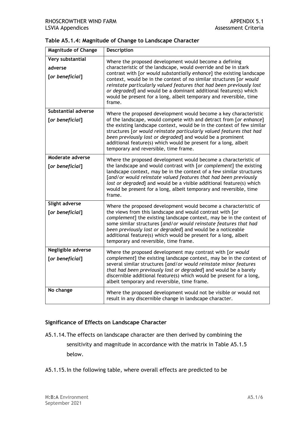| <b>Magnitude of Change</b>                     | <b>Description</b>                                                                                                                                                                                                                                                                                                                                                                                                                                                                                    |
|------------------------------------------------|-------------------------------------------------------------------------------------------------------------------------------------------------------------------------------------------------------------------------------------------------------------------------------------------------------------------------------------------------------------------------------------------------------------------------------------------------------------------------------------------------------|
| Very substantial<br>adverse<br>[or beneficial] | Where the proposed development would become a defining<br>characteristic of the landscape, would override and be in stark<br>contrast with [or would substantially enhance] the existing landscape<br>context, would be in the context of no similar structures [or would<br>reinstate particularly valued features that had been previously lost<br>or degraded] and would be a dominant additional feature(s) which<br>would be present for a long, albeit temporary and reversible, time<br>frame. |
| <b>Substantial adverse</b><br>[or beneficial]  | Where the proposed development would become a key characteristic<br>of the landscape, would compete with and detract from [or enhance]<br>the existing landscape context, would be in the context of few similar<br>structures [or would reinstate particularly valued features that had<br>been previously lost or degraded] and would be a prominent<br>additional feature(s) which would be present for a long, albeit<br>temporary and reversible, time frame.                                    |
| Moderate adverse<br>[or beneficial]            | Where the proposed development would become a characteristic of<br>the landscape and would contrast with [or complement] the existing<br>landscape context, may be in the context of a few similar structures<br>[and/or would reinstate valued features that had been previously<br>lost or degraded] and would be a visible additional feature(s) which<br>would be present for a long, albeit temporary and reversible, time<br>frame.                                                             |
| Slight adverse<br>[or beneficial]              | Where the proposed development would become a characteristic of<br>the views from this landscape and would contrast with [or<br>complement] the existing landscape context, may be in the context of<br>some similar structures [and/or would reinstate features that had<br>been previously lost or degraded] and would be a noticeable<br>additional feature(s) which would be present for a long, albeit<br>temporary and reversible, time frame.                                                  |
| Negligible adverse<br>[or beneficial]          | Where the proposed development may contrast with [or would<br>complement] the existing landscape context, may be in the context of<br>several similar structures [and/or would reinstate minor features<br>that had been previously lost or degraded] and would be a barely<br>discernible additional feature(s) which would be present for a long,<br>albeit temporary and reversible, time frame.                                                                                                   |
| No change                                      | Where the proposed development would not be visible or would not<br>result in any discernible change in landscape character.                                                                                                                                                                                                                                                                                                                                                                          |

#### **Significance of Effects on Landscape Character**

- A5.1.14.The effects on landscape character are then derived by combining the sensitivity and magnitude in accordance with the matrix in Table A5.1.5 below.
- [A5.1.15.In](https://A5.1.15.In) the following table, where overall effects are predicted to be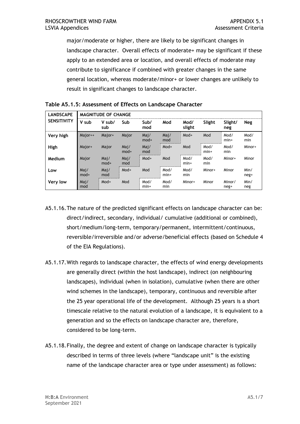major/moderate or higher, there are likely to be significant changes in landscape character. Overall effects of moderate+ may be significant if these apply to an extended area or location, and overall effects of moderate may general location, whereas moderate/minor+ or lower changes are unlikely to result in significant changes to landscape character. contribute to significance if combined with greater changes in the same

| <b>LANDSCAPE</b>   | <b>MAGNITUDE OF CHANGE</b> |                |                |                |                |                |                |                |              |
|--------------------|----------------------------|----------------|----------------|----------------|----------------|----------------|----------------|----------------|--------------|
| <b>SENSITIVITY</b> | V sub                      | V sub/<br>sub  | Sub            | Sub/<br>mod    | Mod            | Mod/<br>slight | Slight         | Slight/<br>neg | Neg          |
| Very high          | Major++                    | Major+         | Major          | Maj/<br>$mod+$ | Maj/<br>mod    | Mod+           | Mod            | Mod/<br>$min+$ | Mod/<br>min  |
| High               | Major+                     | Major          | Mai/<br>$mod+$ | Maj/<br>mod    | Mod+           | Mod            | Mod/<br>$min+$ | Mod/<br>min    | Minor+       |
| Medium             | Major                      | Maj/<br>$mod+$ | Maj/<br>mod    | Mod+           | Mod            | Mod/<br>$min+$ | Mod/<br>min    | Minor+         | Minor        |
| Low                | Maj/<br>$mod+$             | Maj/<br>mod    | Mod+           | Mod            | Mod/<br>$min+$ | Mod/<br>min    | Minor+         | Minor          | Min/<br>neg+ |
| Very low           | Maj/<br>mod                | Mod+           | Mod            | Mod/<br>$min+$ | Mod/<br>min    | Minor+         | Minor          | Minor/<br>neg+ | Min/<br>neg  |

| Table A5.1.5: Assessment of Effects on Landscape Character |  |  |  |
|------------------------------------------------------------|--|--|--|
|------------------------------------------------------------|--|--|--|

- A5.1.16.The nature of the predicted significant effects on landscape character can be: reversible/irreversible and/or adverse/beneficial effects (based on Schedule 4 of the EIA Regulations). direct/indirect, secondary, individual/ cumulative (additional or combined), short/medium/long-term, temporary/permanent, intermittent/continuous,
- A5.1.17.With regards to landscape character, the effects of wind energy developments are generally direct (within the host landscape), indirect (on neighbouring landscapes), individual (when in isolation), cumulative (when there are other wind schemes in the landscape), temporary, continuous and reversible after the 25 year operational life of the development. Although 25 years is a short timescale relative to the natural evolution of a landscape, it is equivalent to a generation and so the effects on landscape character are, therefore, considered to be long-term.
- A5.1.18.Finally, the degree and extent of change on landscape character is typically described in terms of three levels (where "landscape unit" is the existing name of the landscape character area or type under assessment) as follows: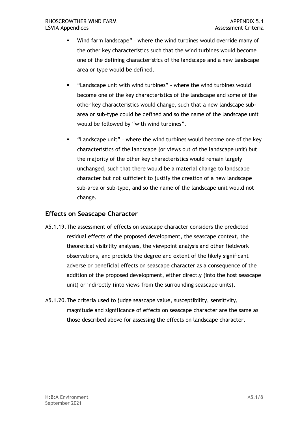- ▪ Wind farm landscape" where the wind turbines would override many of the other key characteristics such that the wind turbines would become one of the defining characteristics of the landscape and a new landscape area or type would be defined.
- ▪ "Landscape unit with wind turbines" where the wind turbines would become one of the key characteristics of the landscape and some of the other key characteristics would change, such that a new landscape sub- area or sub-type could be defined and so the name of the landscape unit would be followed by "with wind turbines".
- ▪ "Landscape unit" where the wind turbines would become one of the key characteristics of the landscape (or views out of the landscape unit) but the majority of the other key characteristics would remain largely unchanged, such that there would be a material change to landscape character but not sufficient to justify the creation of a new landscape sub-area or sub-type, and so the name of the landscape unit would not change.

#### **Effects on Seascape Character**

- A5.1.19.The assessment of effects on seascape character considers the predicted theoretical visibility analyses, the viewpoint analysis and other fieldwork observations, and predicts the degree and extent of the likely significant adverse or beneficial effects on seascape character as a consequence of the addition of the proposed development, either directly (into the host seascape unit) or indirectly (into views from the surrounding seascape units). residual effects of the proposed development, the seascape context, the
- A5.1.20.The criteria used to judge seascape value, susceptibility, sensitivity, magnitude and significance of effects on seascape character are the same as those described above for assessing the effects on landscape character.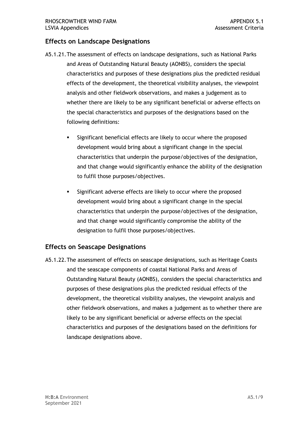#### **Effects on Landscape Designations**

- A5.1.21.The assessment of effects on landscape designations, such as National Parks and Areas of Outstanding Natural Beauty (AONBS), considers the special effects of the development, the theoretical visibility analyses, the viewpoint analysis and other fieldwork observations, and makes a judgement as to whether there are likely to be any significant beneficial or adverse effects on characteristics and purposes of these designations plus the predicted residual the special characteristics and purposes of the designations based on the following definitions:
	- ▪ Significant beneficial effects are likely to occur where the proposed development would bring about a significant change in the special characteristics that underpin the purpose/objectives of the designation, and that change would significantly enhance the ability of the designation to fulfil those purposes/objectives.
	- ▪ Significant adverse effects are likely to occur where the proposed development would bring about a significant change in the special characteristics that underpin the purpose/objectives of the designation, and that change would significantly compromise the ability of the designation to fulfil those purposes/objectives.

#### **Effects on Seascape Designations**

 A5.1.22.The assessment of effects on seascape designations, such as Heritage Coasts and the seascape components of coastal National Parks and Areas of Outstanding Natural Beauty (AONBS), considers the special characteristics and purposes of these designations plus the predicted residual effects of the development, the theoretical visibility analyses, the viewpoint analysis and other fieldwork observations, and makes a judgement as to whether there are likely to be any significant beneficial or adverse effects on the special landscape designations above. characteristics and purposes of the designations based on the definitions for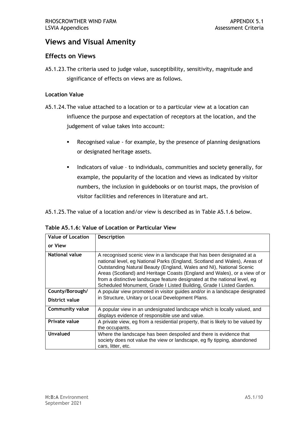## **Views and Visual Amenity**

#### **Effects on Views**

 A5.1.23.The criteria used to judge value, susceptibility, sensitivity, magnitude and significance of effects on views are as follows.

#### **Location Value**

- A5.1.24.The value attached to a location or to a particular view at a location can influence the purpose and expectation of receptors at the location, and the judgement of value takes into account:
	- Recognised value for example, by the presence of planning designations or designated heritage assets.
	- ▪ Indicators of value to individuals, communities and society generally, for example, the popularity of the location and views as indicated by visitor numbers, the inclusion in guidebooks or on tourist maps, the provision of visitor facilities and references in literature and art.

A5.1.25.The value of a location and/or view is described as in Table A5.1.6 below.

| Table A5.1.6: Value of Location or Particular View |  |  |  |
|----------------------------------------------------|--|--|--|
| Value of Location   Description                    |  |  |  |

| or View                |                                                                                                                                                                                                                                                                                                                                                                                                                                                            |
|------------------------|------------------------------------------------------------------------------------------------------------------------------------------------------------------------------------------------------------------------------------------------------------------------------------------------------------------------------------------------------------------------------------------------------------------------------------------------------------|
| <b>National value</b>  | A recognised scenic view in a landscape that has been designated at a<br>national level, eg National Parks (England, Scotland and Wales), Areas of<br>Outstanding Natural Beauty (England, Wales and NI), National Scenic<br>Areas (Scotland) and Heritage Coasts (England and Wales), or a view of or<br>from a distinctive landscape feature designated at the national level, eg<br>Scheduled Monument, Grade I Listed Building, Grade I Listed Garden. |
| County/Borough/        | A popular view promoted in visitor guides and/or in a landscape designated                                                                                                                                                                                                                                                                                                                                                                                 |
| District value         | in Structure, Unitary or Local Development Plans.                                                                                                                                                                                                                                                                                                                                                                                                          |
| <b>Community value</b> | A popular view in an undesignated landscape which is locally valued, and                                                                                                                                                                                                                                                                                                                                                                                   |
|                        | displays evidence of responsible use and value.                                                                                                                                                                                                                                                                                                                                                                                                            |
| <b>Private value</b>   | A private view, eg from a residential property, that is likely to be valued by                                                                                                                                                                                                                                                                                                                                                                             |
|                        | the occupants.                                                                                                                                                                                                                                                                                                                                                                                                                                             |
| <b>Unvalued</b>        | Where the landscape has been despoiled and there is evidence that<br>society does not value the view or landscape, eg fly tipping, abandoned<br>cars, litter, etc.                                                                                                                                                                                                                                                                                         |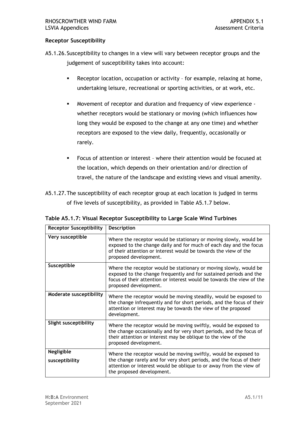#### **Receptor Susceptibility**

 A5.1.26.Susceptibility to changes in a view will vary between receptor groups and the judgement of susceptibility takes into account:

- ▪ Receptor location, occupation or activity for example, relaxing at home, undertaking leisure, recreational or sporting activities, or at work, etc.
- ▪ Movement of receptor and duration and frequency of view experience whether receptors would be stationary or moving (which influences how long they would be exposed to the change at any one time) and whether receptors are exposed to the view daily, frequently, occasionally or rarely.
- travel, the nature of the landscape and existing views and visual amenity. ▪ Focus of attention or interest – where their attention would be focused at the location, which depends on their orientation and/or direction of

 A5.1.27.The susceptibility of each receptor group at each location is judged in terms of five levels of susceptibility, as provided in Table A5.1.7 below.

| <b>Receptor Susceptibility</b> | Description                                                                                                                                                                                                                                |
|--------------------------------|--------------------------------------------------------------------------------------------------------------------------------------------------------------------------------------------------------------------------------------------|
| Very susceptible               | Where the receptor would be stationary or moving slowly, would be<br>exposed to the change daily and for much of each day and the focus<br>of their attention or interest would be towards the view of the<br>proposed development.        |
| Susceptible                    | Where the receptor would be stationary or moving slowly, would be<br>exposed to the change frequently and for sustained periods and the<br>focus of their attention or interest would be towards the view of the<br>proposed development.  |
| Moderate susceptibility        | Where the receptor would be moving steadily, would be exposed to<br>the change infrequently and for short periods, and the focus of their<br>attention or interest may be towards the view of the proposed<br>development.                 |
| <b>Slight susceptibility</b>   | Where the receptor would be moving swiftly, would be exposed to<br>the change occasionally and for very short periods, and the focus of<br>their attention or interest may be oblique to the view of the<br>proposed development.          |
| Negligible<br>susceptibility   | Where the receptor would be moving swiftly, would be exposed to<br>the change rarely and for very short periods, and the focus of their<br>attention or interest would be oblique to or away from the view of<br>the proposed development. |

 **Table A5.1.7: Visual Receptor Susceptibility to Large Scale Wind Turbines**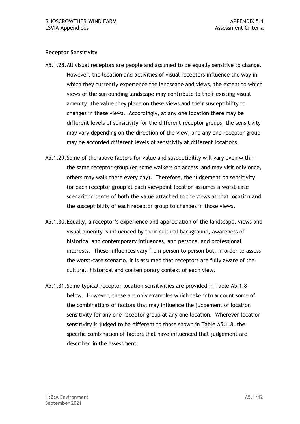#### **Receptor Sensitivity**

- A5.1.28.All visual receptors are people and assumed to be equally sensitive to change. However, the location and activities of visual receptors influence the way in which they currently experience the landscape and views, the extent to which amenity, the value they place on these views and their susceptibility to changes in these views. Accordingly, at any one location there may be different levels of sensitivity for the different receptor groups, the sensitivity may vary depending on the direction of the view, and any one receptor group may be accorded different levels of sensitivity at different locations. views of the surrounding landscape may contribute to their existing visual
- A5.1.29.Some of the above factors for value and susceptibility will vary even within the same receptor group (eg some walkers on access land may visit only once, others may walk there every day). Therefore, the judgement on sensitivity for each receptor group at each viewpoint location assumes a worst-case scenario in terms of both the value attached to the views at that location and the susceptibility of each receptor group to changes in those views.
- visual amenity is influenced by their cultural background, awareness of historical and contemporary influences, and personal and professional interests. These influences vary from person to person but, in order to assess the worst-case scenario, it is assumed that receptors are fully aware of the A5.1.30.Equally, a receptor's experience and appreciation of the landscape, views and cultural, historical and contemporary context of each view.
- below. However, these are only examples which take into account some of the combinations of factors that may influence the judgement of location sensitivity for any one receptor group at any one location. Wherever location sensitivity is judged to be different to those shown in Table A5.1.8, the specific combination of factors that have influenced that judgement are described in the assessment. A5.1.31.Some typical receptor location sensitivities are provided in Table A5.1.8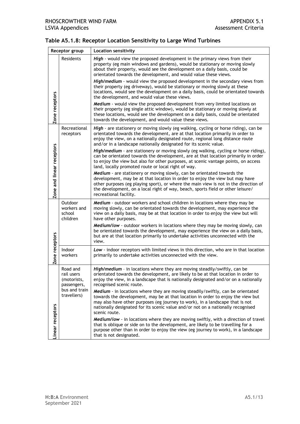| Receptor group            |                                                      | <b>Location sensitivity</b>                                                                                                                                                                                                                                                                                                                                  |
|---------------------------|------------------------------------------------------|--------------------------------------------------------------------------------------------------------------------------------------------------------------------------------------------------------------------------------------------------------------------------------------------------------------------------------------------------------------|
|                           | Residents                                            | High - would view the proposed development in the primary views from their<br>property (eg main windows and gardens), would be stationary or moving slowly<br>about their property, would see the development on a daily basis, could be<br>orientated towards the development, and would value these views.                                                 |
|                           |                                                      | High/medium - would view the proposed development in the secondary views from<br>their property (eg driveway), would be stationary or moving slowly at these<br>locations, would see the development on a daily basis, could be orientated towards<br>the development, and would value these views.                                                          |
| Zone receptors            |                                                      | Medium - would view the proposed development from very limited locations on<br>their property (eg single attic window), would be stationary or moving slowly at<br>these locations, would see the development on a daily basis, could be orientated<br>towards the development, and would value these views.                                                 |
|                           | Recreational<br>receptors                            | High - are stationery or moving slowly (eg walking, cycling or horse riding), can be<br>orientated towards the development, are at that location primarily in order to<br>enjoy the view, on a nationally designated route, regional long distance route<br>and/or in a landscape nationally designated for its scenic value.                                |
| Zone and linear receptors |                                                      | High/medium - are stationery or moving slowly (eg walking, cycling or horse riding),<br>can be orientated towards the development, are at that location primarily in order<br>to enjoy the view but also for other purposes, at scenic vantage points, on access<br>land, locally promoted route or local right of way.                                      |
|                           |                                                      | Medium - are stationery or moving slowly, can be orientated towards the<br>development, may be at that location in order to enjoy the view but may have<br>other purposes (eg playing sport), or where the main view is not in the direction of<br>the development, on a local right of way, beach, sports field or other leisure/<br>recreational facility. |
|                           | Outdoor<br>workers and<br>school<br>children         | Medium - outdoor workers and school children in locations where they may be<br>moving slowly, can be orientated towards the development, may experience the<br>view on a daily basis, may be at that location in order to enjoy the view but will<br>have other purposes.                                                                                    |
|                           |                                                      | Medium/low - outdoor workers in locations where they may be moving slowly, can<br>be orientated towards the development, may experience the view on a daily basis,<br>but are at that location primarily to undertake activities unconnected with the<br>view.                                                                                               |
| Zone receptors            | Indoor<br>workers                                    | Low - indoor receptors with limited views in this direction, who are in that location<br>primarily to undertake activities unconnected with the view.                                                                                                                                                                                                        |
|                           | Road and<br>rail users<br>(motorists,<br>passengers, | High/medium - in locations where they are moving steadily/swiftly, can be<br>orientated towards the development, are likely to be at that location in order to<br>enjoy the view, in a landscape that is nationally designated and/or on a nationally<br>recognised scenic route.                                                                            |
|                           | bus and train<br>travellers)                         | Medium - in locations where they are moving steadily/swiftly, can be orientated<br>towards the development, may be at that location in order to enjoy the view but<br>may also have other purposes (eg journey to work), in a landscape that is not<br>nationally designated for its scenic value and/or not on a nationally recognised<br>scenic route.     |
| Linear receptors          |                                                      | Medium/low - in locations where they are moving swiftly, with a direction of travel<br>that is oblique or side on to the development, are likely to be travelling for a<br>purpose other than in order to enjoy the view (eg journey to work), in a landscape<br>that is not designated.                                                                     |

#### **Table A5.1.8: Receptor Location Sensitivity to Large Wind Turbines**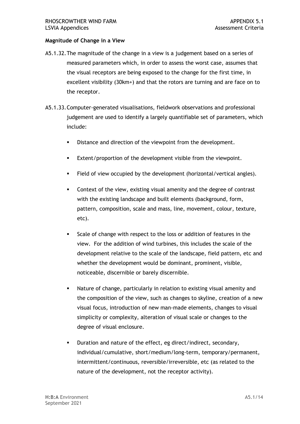#### **Magnitude of Change in a View**

- A5.1.32.The magnitude of the change in a view is a judgement based on a series of measured parameters which, in order to assess the worst case, assumes that the visual receptors are being exposed to the change for the first time, in excellent visibility (30km+) and that the rotors are turning and are face on to the receptor.
- <span id="page-14-0"></span> A5.1.33.Computer-generated visualisations, fieldwork observations and professional judgement are used to identify a largely quantifiable set of parameters, which include:
	- Distance and direction of the viewpoint from the development.
	- Extent/proportion of the development visible from the viewpoint.
	- Field of view occupied by the development (horizontal/vertical angles).
	- Context of the view, existing visual amenity and the degree of contrast with the existing landscape and built elements (background, form, pattern, composition, scale and mass, line, movement, colour, texture, etc).
	- Scale of change with respect to the loss or addition of features in the view. For the addition of wind turbines, this includes the scale of the development relative to the scale of the landscape, field pattern, etc and whether the development would be dominant, prominent, visible, noticeable, discernible or barely discernible.
	- Nature of change, particularly in relation to existing visual amenity and the composition of the view, such as changes to skyline, creation of a new visual focus, introduction of new man-made elements, changes to visual simplicity or complexity, alteration of visual scale or changes to the degree of visual enclosure.
	- ▪ Duration and nature of the effect, eg direct/indirect, secondary, intermittent/continuous, reversible/irreversible, etc (as related to the nature of the development, not the receptor activity). individual/cumulative, short/medium/long-term, temporary/permanent,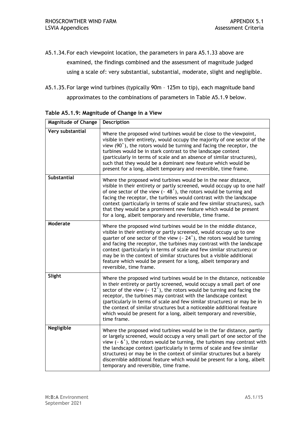- examined, the findings combined and the assessment of magnitude judged using a scale of: very substantial, substantial, moderate, slight and negligible. A5.1.34.For each viewpoint location, the parameters in para [A5.1.33](#page-14-0) above are
- A5.1.35.For large wind turbines (typically 90m 125m to tip), each magnitude band approximates to the combinations of parameters in Table A5.1.9 below.

| <b>Magnitude of Change</b> | Description                                                                                                                                                                                                                                                                                                                                                                                                                                                                                                                                                |
|----------------------------|------------------------------------------------------------------------------------------------------------------------------------------------------------------------------------------------------------------------------------------------------------------------------------------------------------------------------------------------------------------------------------------------------------------------------------------------------------------------------------------------------------------------------------------------------------|
| Very substantial           | Where the proposed wind turbines would be close to the viewpoint,<br>visible in their entirety, would occupy the majority of one sector of the<br>view (90°), the rotors would be turning and facing the receptor, the<br>turbines would be in stark contrast to the landscape context<br>(particularly in terms of scale and an absence of similar structures),<br>such that they would be a dominant new feature which would be<br>present for a long, albeit temporary and reversible, time frame.                                                      |
| <b>Substantial</b>         | Where the proposed wind turbines would be in the near distance,<br>visible in their entirety or partly screened, would occupy up to one half<br>of one sector of the view ( $\sim$ 48°), the rotors would be turning and<br>facing the receptor, the turbines would contrast with the landscape<br>context (particularly in terms of scale and few similar structures), such<br>that they would be a prominent new feature which would be present<br>for a long, albeit temporary and reversible, time frame.                                              |
| Moderate                   | Where the proposed wind turbines would be in the middle distance,<br>visible in their entirety or partly screened, would occupy up to one<br>quarter of one sector of the view ( $\sim 24^{\circ}$ ), the rotors would be turning<br>and facing the receptor, the turbines may contrast with the landscape<br>context (particularly in terms of scale and few similar structures) or<br>may be in the context of similar structures but a visible additional<br>feature which would be present for a long, albeit temporary and<br>reversible, time frame. |
| Slight                     | Where the proposed wind turbines would be in the distance, noticeable<br>in their entirety or partly screened, would occupy a small part of one<br>sector of the view ( $\sim$ 12 $\degree$ ), the rotors would be turning and facing the<br>receptor, the turbines may contrast with the landscape context<br>(particularly in terms of scale and few similar structures) or may be in<br>the context of similar structures but a noticeable additional feature<br>which would be present for a long, albeit temporary and reversible,<br>time frame.     |
| <b>Negligible</b>          | Where the proposed wind turbines would be in the far distance, partly<br>or largely screened, would occupy a very small part of one sector of the<br>view ( $\sim 6^{\circ}$ ), the rotors would be turning, the turbines may contrast with<br>the landscape context (particularly in terms of scale and few similar<br>structures) or may be in the context of similar structures but a barely<br>discernible additional feature which would be present for a long, albeit<br>temporary and reversible, time frame.                                       |

 **Table A5.1.9: Magnitude of Change in a View**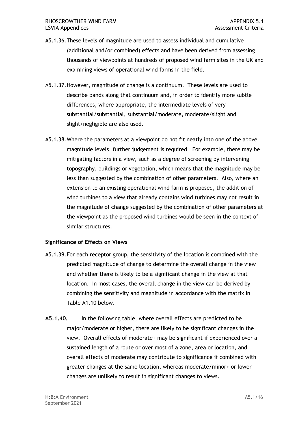- A5.1.36.These levels of magnitude are used to assess individual and cumulative (additional and/or combined) effects and have been derived from assessing thousands of viewpoints at hundreds of proposed wind farm sites in the UK and examining views of operational wind farms in the field.
- A5.1.37.However, magnitude of change is a continuum. These levels are used to describe bands along that continuum and, in order to identify more subtle differences, where appropriate, the intermediate levels of very substantial/substantial, substantial/moderate, moderate/slight and slight/negligible are also used.
- A5.1.38.Where the parameters at a viewpoint do not fit neatly into one of the above magnitude levels, further judgement is required. For example, there may be mitigating factors in a view, such as a degree of screening by intervening topography, buildings or vegetation, which means that the magnitude may be less than suggested by the combination of other parameters. Also, where an wind turbines to a view that already contains wind turbines may not result in the magnitude of change suggested by the combination of other parameters at the viewpoint as the proposed wind turbines would be seen in the context of extension to an existing operational wind farm is proposed, the addition of similar structures.

#### **Significance of Effects on Views**

- A5.1.39.For each receptor group, the sensitivity of the location is combined with the predicted magnitude of change to determine the overall change in the view and whether there is likely to be a significant change in the view at that location. In most cases, the overall change in the view can be derived by combining the sensitivity and magnitude in accordance with the matrix in Table A1.10 below.
- **A5.1.40.** In the following table, where overall effects are predicted to be major/moderate or higher, there are likely to be significant changes in the view. Overall effects of moderate+ may be significant if experienced over a sustained length of a route or over most of a zone, area or location, and overall effects of moderate may contribute to significance if combined with greater changes at the same location, whereas moderate/minor+ or lower changes are unlikely to result in significant changes to views.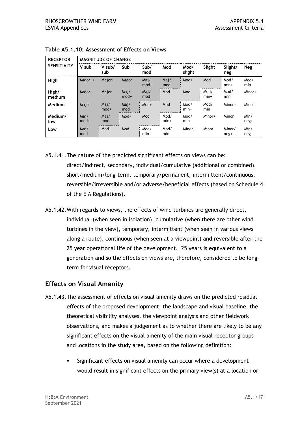| <b>RECEPTOR</b><br><b>SENSITIVITY</b> | <b>MAGNITUDE OF CHANGE</b> |                |                |                |                |                |                |                |              |  |
|---------------------------------------|----------------------------|----------------|----------------|----------------|----------------|----------------|----------------|----------------|--------------|--|
|                                       | V sub                      | V sub/<br>sub  | Sub            | Sub/<br>mod    | Mod            | Mod/<br>slight | Slight         | Slight/<br>neg | Neg          |  |
| High                                  | Major++                    | Major+         | Major          | Maj/<br>$mod+$ | Maj/<br>mod    | Mod+           | Mod            | Mod/<br>$min+$ | Mod/<br>min  |  |
| High/<br>medium                       | Major+                     | Major          | Mai/<br>$mod+$ | Maj/<br>mod    | Mod+           | Mod            | Mod/<br>$min+$ | Mod/<br>min    | Minor+       |  |
| Medium                                | Major                      | Maj/<br>$mod+$ | Mai/<br>mod    | Mod+           | Mod            | Mod/<br>$min+$ | Mod/<br>min    | Minor+         | Minor        |  |
| Medium/<br>low                        | Maj/<br>mod+               | Maj/<br>mod    | Mod+           | Mod            | Mod/<br>$min+$ | Mod/<br>min    | Minor+         | Minor          | Min/<br>neg+ |  |
| Low                                   | Maj/<br>mod                | Mod+           | Mod            | Mod/<br>$min+$ | Mod/<br>min    | Minor+         | Minor          | Minor/<br>neg+ | Min/<br>neg  |  |

 **Table A5.1.10: Assessment of Effects on Views** 

- A5.1.41.The nature of the predicted significant effects on views can be: reversible/irreversible and/or adverse/beneficial effects (based on Schedule 4 of the EIA Regulations). direct/indirect, secondary, individual/cumulative (additional or combined), short/medium/long-term, temporary/permanent, intermittent/continuous,
- A5.1.42.With regards to views, the effects of wind turbines are generally direct, individual (when seen in isolation), cumulative (when there are other wind turbines in the view), temporary, intermittent (when seen in various views along a route), continuous (when seen at a viewpoint) and reversible after the 25 year operational life of the development. 25 years is equivalent to a generation and so the effects on views are, therefore, considered to be longterm for visual receptors.

#### **Effects on Visual Amenity**

- A5.1.43.The assessment of effects on visual amenity draws on the predicted residual effects of the proposed development, the landscape and visual baseline, the theoretical visibility analyses, the viewpoint analysis and other fieldwork observations, and makes a judgement as to whether there are likely to be any significant effects on the visual amenity of the main visual receptor groups and locations in the study area, based on the following definition:
	- ▪ Significant effects on visual amenity can occur where a development would result in significant effects on the primary view(s) at a location or